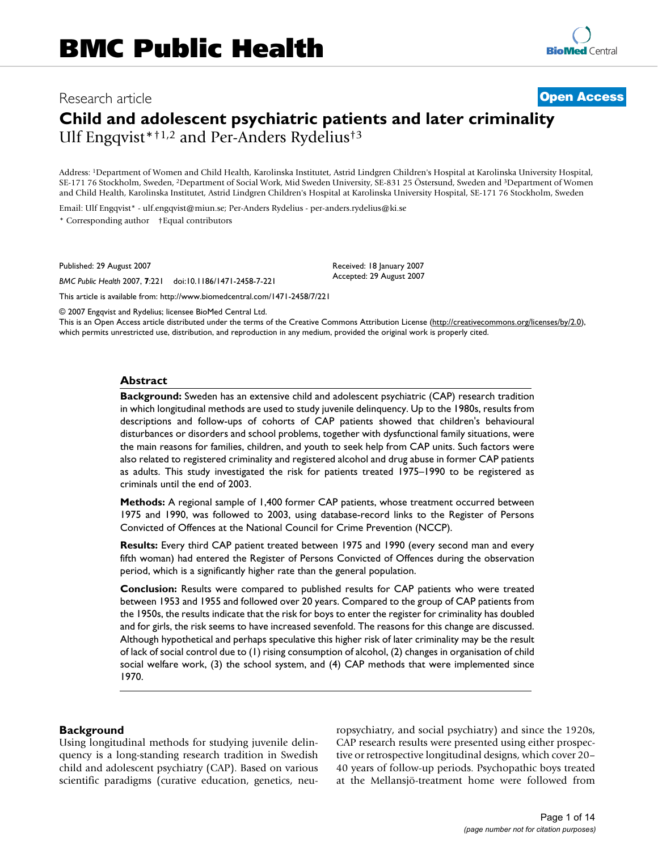# Research article **[Open Access](http://www.biomedcentral.com/info/about/charter/) Child and adolescent psychiatric patients and later criminality** Ulf Engqvist\*†1,2 and Per-Anders Rydelius†3

Address: 1Department of Women and Child Health, Karolinska Institutet, Astrid Lindgren Children's Hospital at Karolinska University Hospital, SE-171 76 Stockholm, Sweden, 2Department of Social Work, Mid Sweden University, SE-831 25 Östersund, Sweden and 3Department of Women and Child Health, Karolinska Institutet, Astrid Lindgren Children's Hospital at Karolinska University Hospital, SE-171 76 Stockholm, Sweden

Email: Ulf Engqvist\* - ulf.engqvist@miun.se; Per-Anders Rydelius - per-anders.rydelius@ki.se \* Corresponding author †Equal contributors

Published: 29 August 2007

*BMC Public Health* 2007, **7**:221 doi:10.1186/1471-2458-7-221

[This article is available from: http://www.biomedcentral.com/1471-2458/7/221](http://www.biomedcentral.com/1471-2458/7/221)

© 2007 Engqvist and Rydelius; licensee BioMed Central Ltd.

This is an Open Access article distributed under the terms of the Creative Commons Attribution License [\(http://creativecommons.org/licenses/by/2.0\)](http://creativecommons.org/licenses/by/2.0), which permits unrestricted use, distribution, and reproduction in any medium, provided the original work is properly cited.

Received: 18 January 2007 Accepted: 29 August 2007

#### **Abstract**

**Background:** Sweden has an extensive child and adolescent psychiatric (CAP) research tradition in which longitudinal methods are used to study juvenile delinquency. Up to the 1980s, results from descriptions and follow-ups of cohorts of CAP patients showed that children's behavioural disturbances or disorders and school problems, together with dysfunctional family situations, were the main reasons for families, children, and youth to seek help from CAP units. Such factors were also related to registered criminality and registered alcohol and drug abuse in former CAP patients as adults. This study investigated the risk for patients treated 1975–1990 to be registered as criminals until the end of 2003.

**Methods:** A regional sample of 1,400 former CAP patients, whose treatment occurred between 1975 and 1990, was followed to 2003, using database-record links to the Register of Persons Convicted of Offences at the National Council for Crime Prevention (NCCP).

**Results:** Every third CAP patient treated between 1975 and 1990 (every second man and every fifth woman) had entered the Register of Persons Convicted of Offences during the observation period, which is a significantly higher rate than the general population.

**Conclusion:** Results were compared to published results for CAP patients who were treated between 1953 and 1955 and followed over 20 years. Compared to the group of CAP patients from the 1950s, the results indicate that the risk for boys to enter the register for criminality has doubled and for girls, the risk seems to have increased sevenfold. The reasons for this change are discussed. Although hypothetical and perhaps speculative this higher risk of later criminality may be the result of lack of social control due to (1) rising consumption of alcohol, (2) changes in organisation of child social welfare work, (3) the school system, and (4) CAP methods that were implemented since 1970.

#### **Background**

Using longitudinal methods for studying juvenile delinquency is a long-standing research tradition in Swedish child and adolescent psychiatry (CAP). Based on various scientific paradigms (curative education, genetics, neuropsychiatry, and social psychiatry) and since the 1920s, CAP research results were presented using either prospective or retrospective longitudinal designs, which cover 20– 40 years of follow-up periods. Psychopathic boys treated at the Mellansjö-treatment home were followed from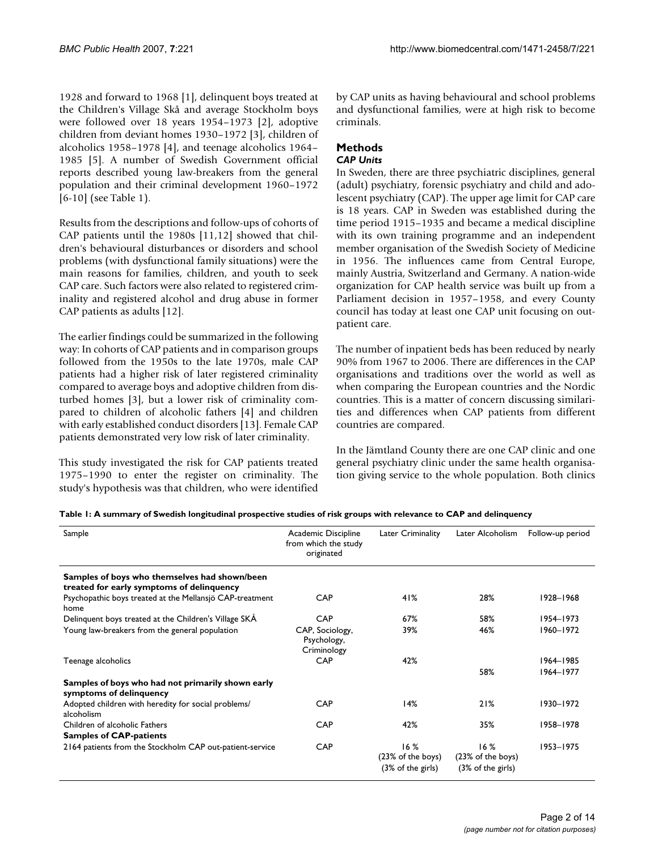1928 and forward to 1968 [1], delinquent boys treated at the Children's Village Skå and average Stockholm boys were followed over 18 years 1954–1973 [2], adoptive children from deviant homes 1930–1972 [3], children of alcoholics 1958–1978 [4], and teenage alcoholics 1964– 1985 [5]. A number of Swedish Government official reports described young law-breakers from the general population and their criminal development 1960–1972 [6-10] (see Table 1).

Results from the descriptions and follow-ups of cohorts of CAP patients until the 1980s [11,12] showed that children's behavioural disturbances or disorders and school problems (with dysfunctional family situations) were the main reasons for families, children, and youth to seek CAP care. Such factors were also related to registered criminality and registered alcohol and drug abuse in former CAP patients as adults [12].

The earlier findings could be summarized in the following way: In cohorts of CAP patients and in comparison groups followed from the 1950s to the late 1970s, male CAP patients had a higher risk of later registered criminality compared to average boys and adoptive children from disturbed homes [3], but a lower risk of criminality compared to children of alcoholic fathers [4] and children with early established conduct disorders [13]. Female CAP patients demonstrated very low risk of later criminality.

This study investigated the risk for CAP patients treated 1975–1990 to enter the register on criminality. The study's hypothesis was that children, who were identified by CAP units as having behavioural and school problems and dysfunctional families, were at high risk to become criminals.

# **Methods**

# *CAP Units*

In Sweden, there are three psychiatric disciplines, general (adult) psychiatry, forensic psychiatry and child and adolescent psychiatry (CAP). The upper age limit for CAP care is 18 years. CAP in Sweden was established during the time period 1915–1935 and became a medical discipline with its own training programme and an independent member organisation of the Swedish Society of Medicine in 1956. The influences came from Central Europe, mainly Austria, Switzerland and Germany. A nation-wide organization for CAP health service was built up from a Parliament decision in 1957–1958, and every County council has today at least one CAP unit focusing on outpatient care.

The number of inpatient beds has been reduced by nearly 90% from 1967 to 2006. There are differences in the CAP organisations and traditions over the world as well as when comparing the European countries and the Nordic countries. This is a matter of concern discussing similarities and differences when CAP patients from different countries are compared.

In the Jämtland County there are one CAP clinic and one general psychiatry clinic under the same health organisation giving service to the whole population. Both clinics

**Table 1: A summary of Swedish longitudinal prospective studies of risk groups with relevance to CAP and delinquency**

| Sample                                                                                     | Academic Discipline<br>from which the study<br>originated | Later Criminality                             | Later Alcoholism                              | Follow-up period |
|--------------------------------------------------------------------------------------------|-----------------------------------------------------------|-----------------------------------------------|-----------------------------------------------|------------------|
| Samples of boys who themselves had shown/been<br>treated for early symptoms of delinquency |                                                           |                                               |                                               |                  |
| Psychopathic boys treated at the Mellansjö CAP-treatment<br>home                           | CAP                                                       | 41%                                           | 28%                                           | 1928-1968        |
| Delinquent boys treated at the Children's Village SKÅ                                      | <b>CAP</b>                                                | 67%                                           | 58%                                           | 1954-1973        |
| Young law-breakers from the general population                                             | CAP, Sociology,<br>Psychology,<br>Criminology             | 39%                                           | 46%                                           | 1960-1972        |
| Teenage alcoholics                                                                         | CAP                                                       | 42%                                           |                                               | 1964-1985        |
|                                                                                            |                                                           |                                               | 58%                                           | $1964 - 1977$    |
| Samples of boys who had not primarily shown early<br>symptoms of delinguency               |                                                           |                                               |                                               |                  |
| Adopted children with heredity for social problems/<br>alcoholism                          | <b>CAP</b>                                                | 14%                                           | 21%                                           | 1930-1972        |
| Children of alcoholic Fathers                                                              | CAP                                                       | 42%                                           | 35%                                           | 1958-1978        |
| <b>Samples of CAP-patients</b>                                                             |                                                           |                                               |                                               |                  |
| 2164 patients from the Stockholm CAP out-patient-service                                   | <b>CAP</b>                                                | 16%<br>(23% of the boys)<br>(3% of the girls) | 16%<br>(23% of the boys)<br>(3% of the girls) | $1953 - 1975$    |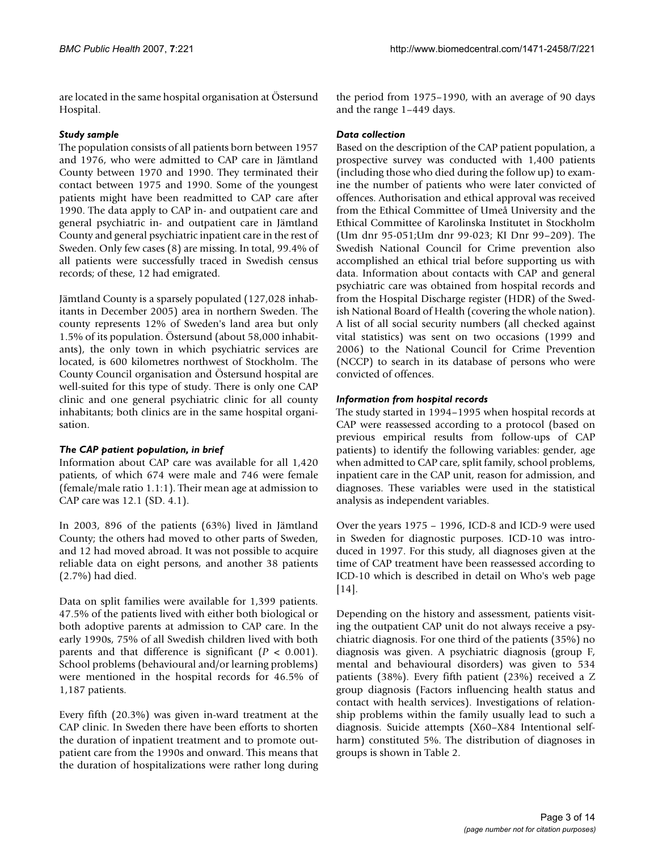are located in the same hospital organisation at Östersund Hospital.

# *Study sample*

The population consists of all patients born between 1957 and 1976, who were admitted to CAP care in Jämtland County between 1970 and 1990. They terminated their contact between 1975 and 1990. Some of the youngest patients might have been readmitted to CAP care after 1990. The data apply to CAP in- and outpatient care and general psychiatric in- and outpatient care in Jämtland County and general psychiatric inpatient care in the rest of Sweden. Only few cases (8) are missing. In total, 99.4% of all patients were successfully traced in Swedish census records; of these, 12 had emigrated.

Jämtland County is a sparsely populated (127,028 inhabitants in December 2005) area in northern Sweden. The county represents 12% of Sweden's land area but only 1.5% of its population. Östersund (about 58,000 inhabitants), the only town in which psychiatric services are located, is 600 kilometres northwest of Stockholm. The County Council organisation and Östersund hospital are well-suited for this type of study. There is only one CAP clinic and one general psychiatric clinic for all county inhabitants; both clinics are in the same hospital organisation.

# *The CAP patient population, in brief*

Information about CAP care was available for all 1,420 patients, of which 674 were male and 746 were female (female/male ratio 1.1:1). Their mean age at admission to CAP care was 12.1 (SD. 4.1).

In 2003, 896 of the patients (63%) lived in Jämtland County; the others had moved to other parts of Sweden, and 12 had moved abroad. It was not possible to acquire reliable data on eight persons, and another 38 patients (2.7%) had died.

Data on split families were available for 1,399 patients. 47.5% of the patients lived with either both biological or both adoptive parents at admission to CAP care. In the early 1990s, 75% of all Swedish children lived with both parents and that difference is significant (*P* < 0.001). School problems (behavioural and/or learning problems) were mentioned in the hospital records for 46.5% of 1,187 patients.

Every fifth (20.3%) was given in-ward treatment at the CAP clinic. In Sweden there have been efforts to shorten the duration of inpatient treatment and to promote outpatient care from the 1990s and onward. This means that the duration of hospitalizations were rather long during the period from 1975–1990, with an average of 90 days and the range 1–449 days.

# *Data collection*

Based on the description of the CAP patient population, a prospective survey was conducted with 1,400 patients (including those who died during the follow up) to examine the number of patients who were later convicted of offences. Authorisation and ethical approval was received from the Ethical Committee of Umeå University and the Ethical Committee of Karolinska Institutet in Stockholm (Um dnr 95-051;Um dnr 99-023; KI Dnr 99–209). The Swedish National Council for Crime prevention also accomplished an ethical trial before supporting us with data. Information about contacts with CAP and general psychiatric care was obtained from hospital records and from the Hospital Discharge register (HDR) of the Swedish National Board of Health (covering the whole nation). A list of all social security numbers (all checked against vital statistics) was sent on two occasions (1999 and 2006) to the National Council for Crime Prevention (NCCP) to search in its database of persons who were convicted of offences.

# *Information from hospital records*

The study started in 1994–1995 when hospital records at CAP were reassessed according to a protocol (based on previous empirical results from follow-ups of CAP patients) to identify the following variables: gender, age when admitted to CAP care, split family, school problems, inpatient care in the CAP unit, reason for admission, and diagnoses. These variables were used in the statistical analysis as independent variables.

Over the years 1975 – 1996, ICD-8 and ICD-9 were used in Sweden for diagnostic purposes. ICD-10 was introduced in 1997. For this study, all diagnoses given at the time of CAP treatment have been reassessed according to ICD-10 which is described in detail on Who's web page [14].

Depending on the history and assessment, patients visiting the outpatient CAP unit do not always receive a psychiatric diagnosis. For one third of the patients (35%) no diagnosis was given. A psychiatric diagnosis (group F, mental and behavioural disorders) was given to 534 patients (38%). Every fifth patient (23%) received a Z group diagnosis (Factors influencing health status and contact with health services). Investigations of relationship problems within the family usually lead to such a diagnosis. Suicide attempts (X60–X84 Intentional selfharm) constituted 5%. The distribution of diagnoses in groups is shown in Table 2.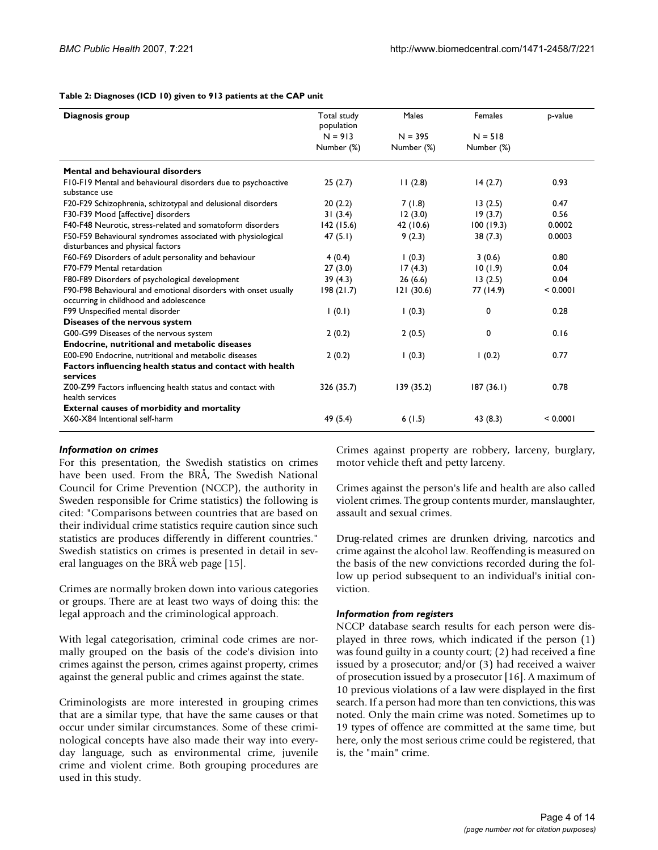#### **Table 2: Diagnoses (ICD 10) given to 913 patients at the CAP unit**

| Diagnosis group                                                                                          | Total study | Males      | Females    | p-value  |
|----------------------------------------------------------------------------------------------------------|-------------|------------|------------|----------|
|                                                                                                          | population  |            |            |          |
|                                                                                                          | $N = 913$   | $N = 395$  | $N = 518$  |          |
|                                                                                                          | Number (%)  | Number (%) | Number (%) |          |
| Mental and behavioural disorders                                                                         |             |            |            |          |
| F10-F19 Mental and behavioural disorders due to psychoactive<br>substance use                            | 25(2.7)     | 11(2.8)    | 14(2.7)    | 0.93     |
| F20-F29 Schizophrenia, schizotypal and delusional disorders                                              | 20(2.2)     | 7(1.8)     | 13(2.5)    | 0.47     |
| F30-F39 Mood [affective] disorders                                                                       | 31(3.4)     | 12(3.0)    | 19(3.7)    | 0.56     |
| F40-F48 Neurotic, stress-related and somatoform disorders                                                | 142(15.6)   | 42 (10.6)  | 100(19.3)  | 0.0002   |
| F50-F59 Behavioural syndromes associated with physiological                                              | 47(5.1)     | 9(2.3)     | 38 (7.3)   | 0.0003   |
| disturbances and physical factors                                                                        |             |            |            |          |
| F60-F69 Disorders of adult personality and behaviour                                                     | 4(0.4)      | (0.3)      | 3(0.6)     | 0.80     |
| F70-F79 Mental retardation                                                                               | 27(3.0)     | 17(4.3)    | 10(1.9)    | 0.04     |
| F80-F89 Disorders of psychological development                                                           | 39(4.3)     | 26(6.6)    | 13(2.5)    | 0.04     |
| F90-F98 Behavioural and emotional disorders with onset usually<br>occurring in childhood and adolescence | 198(21.7)   | 121(30.6)  | 77 (14.9)  | < 0.0001 |
| F99 Unspecified mental disorder                                                                          | (0.1)       | 1(0.3)     | 0          | 0.28     |
| Diseases of the nervous system                                                                           |             |            |            |          |
| G00-G99 Diseases of the nervous system                                                                   | 2(0.2)      | 2(0.5)     | 0          | 0.16     |
| Endocrine, nutritional and metabolic diseases                                                            |             |            |            |          |
| E00-E90 Endocrine, nutritional and metabolic diseases                                                    | 2(0.2)      | (0.3)      | (0.2)      | 0.77     |
| Factors influencing health status and contact with health                                                |             |            |            |          |
| services                                                                                                 |             |            |            |          |
| Z00-Z99 Factors influencing health status and contact with                                               | 326 (35.7)  | 139(35.2)  | 187(36.1)  | 0.78     |
| health services                                                                                          |             |            |            |          |
| <b>External causes of morbidity and mortality</b>                                                        |             |            |            |          |
| X60-X84 Intentional self-harm                                                                            | 49 (5.4)    | 6(1.5)     | 43(8.3)    | < 0.0001 |

#### *Information on crimes*

For this presentation, the Swedish statistics on crimes have been used. From the BRÅ, The Swedish National Council for Crime Prevention (NCCP), the authority in Sweden responsible for Crime statistics) the following is cited: "Comparisons between countries that are based on their individual crime statistics require caution since such statistics are produces differently in different countries." Swedish statistics on crimes is presented in detail in several languages on the BRÅ web page [15].

Crimes are normally broken down into various categories or groups. There are at least two ways of doing this: the legal approach and the criminological approach.

With legal categorisation, criminal code crimes are normally grouped on the basis of the code's division into crimes against the person, crimes against property, crimes against the general public and crimes against the state.

Criminologists are more interested in grouping crimes that are a similar type, that have the same causes or that occur under similar circumstances. Some of these criminological concepts have also made their way into everyday language, such as environmental crime, juvenile crime and violent crime. Both grouping procedures are used in this study.

Crimes against property are robbery, larceny, burglary, motor vehicle theft and petty larceny.

Crimes against the person's life and health are also called violent crimes. The group contents murder, manslaughter, assault and sexual crimes.

Drug-related crimes are drunken driving, narcotics and crime against the alcohol law. Reoffending is measured on the basis of the new convictions recorded during the follow up period subsequent to an individual's initial conviction.

#### *Information from registers*

NCCP database search results for each person were displayed in three rows, which indicated if the person (1) was found guilty in a county court; (2) had received a fine issued by a prosecutor; and/or (3) had received a waiver of prosecution issued by a prosecutor [16]. A maximum of 10 previous violations of a law were displayed in the first search. If a person had more than ten convictions, this was noted. Only the main crime was noted. Sometimes up to 19 types of offence are committed at the same time, but here, only the most serious crime could be registered, that is, the "main" crime.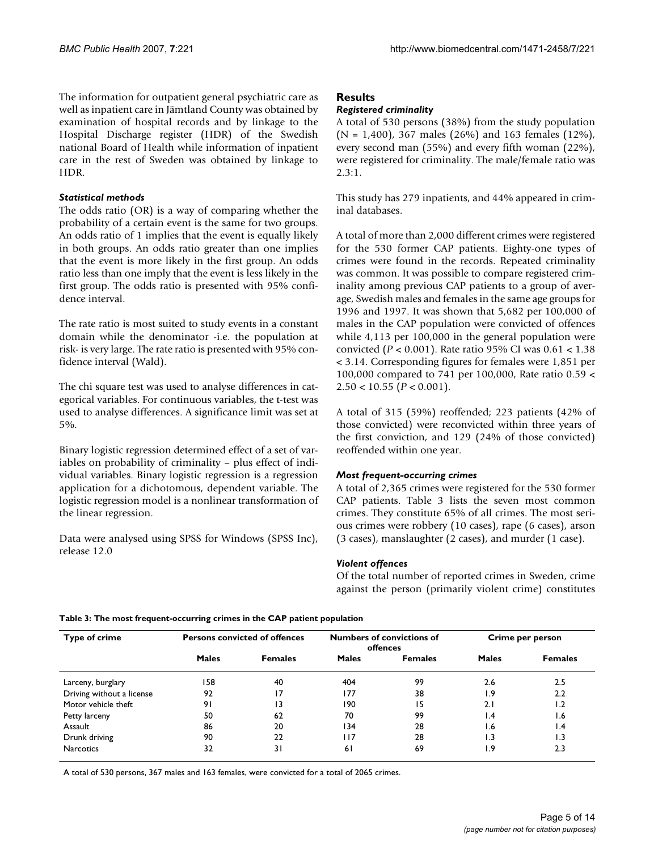The information for outpatient general psychiatric care as well as inpatient care in Jämtland County was obtained by examination of hospital records and by linkage to the Hospital Discharge register (HDR) of the Swedish national Board of Health while information of inpatient care in the rest of Sweden was obtained by linkage to HDR.

# *Statistical methods*

The odds ratio (OR) is a way of comparing whether the probability of a certain event is the same for two groups. An odds ratio of 1 implies that the event is equally likely in both groups. An odds ratio greater than one implies that the event is more likely in the first group. An odds ratio less than one imply that the event is less likely in the first group. The odds ratio is presented with 95% confidence interval.

The rate ratio is most suited to study events in a constant domain while the denominator -i.e. the population at risk- is very large. The rate ratio is presented with 95% confidence interval (Wald).

The chi square test was used to analyse differences in categorical variables. For continuous variables, the t-test was used to analyse differences. A significance limit was set at 5%.

Binary logistic regression determined effect of a set of variables on probability of criminality – plus effect of individual variables. Binary logistic regression is a regression application for a dichotomous, dependent variable. The logistic regression model is a nonlinear transformation of the linear regression.

Data were analysed using SPSS for Windows (SPSS Inc), release 12.0

# **Results**

#### *Registered criminality*

A total of 530 persons (38%) from the study population (N = 1,400), 367 males (26%) and 163 females (12%), every second man (55%) and every fifth woman (22%), were registered for criminality. The male/female ratio was 2.3:1.

This study has 279 inpatients, and 44% appeared in criminal databases.

A total of more than 2,000 different crimes were registered for the 530 former CAP patients. Eighty-one types of crimes were found in the records. Repeated criminality was common. It was possible to compare registered criminality among previous CAP patients to a group of average, Swedish males and females in the same age groups for 1996 and 1997. It was shown that 5,682 per 100,000 of males in the CAP population were convicted of offences while 4,113 per 100,000 in the general population were convicted (*P* < 0.001). Rate ratio 95% CI was 0.61 < 1.38 < 3.14. Corresponding figures for females were 1,851 per 100,000 compared to 741 per 100,000, Rate ratio 0.59 <  $2.50 < 10.55$  ( $P < 0.001$ ).

A total of 315 (59%) reoffended; 223 patients (42% of those convicted) were reconvicted within three years of the first conviction, and 129 (24% of those convicted) reoffended within one year.

# *Most frequent-occurring crimes*

A total of 2,365 crimes were registered for the 530 former CAP patients. Table 3 lists the seven most common crimes. They constitute 65% of all crimes. The most serious crimes were robbery (10 cases), rape (6 cases), arson (3 cases), manslaughter (2 cases), and murder (1 case).

#### *Violent offences*

Of the total number of reported crimes in Sweden, crime against the person (primarily violent crime) constitutes

#### **Type of crime Persons convicted of offences Numbers of convictions of offences Crime per person Males Females Males Females Males Females** Larceny, burglary 158 40 404 99 2.6 2.5 Driving without a license **92** 17 177 38 1.9 2.2 Motor vehicle theft **91** 13 190 15 2.1 1.2 Petty larceny 50 62 70 99 1.4 1.6 Assault 86 20 134 28 1.6 1.4 Drunk driving 90 22 117 28 1.3 1.3 Narcotics 32 31 61 69 1.9 2.3

**Table 3: The most frequent-occurring crimes in the CAP patient population**

A total of 530 persons, 367 males and 163 females, were convicted for a total of 2065 crimes.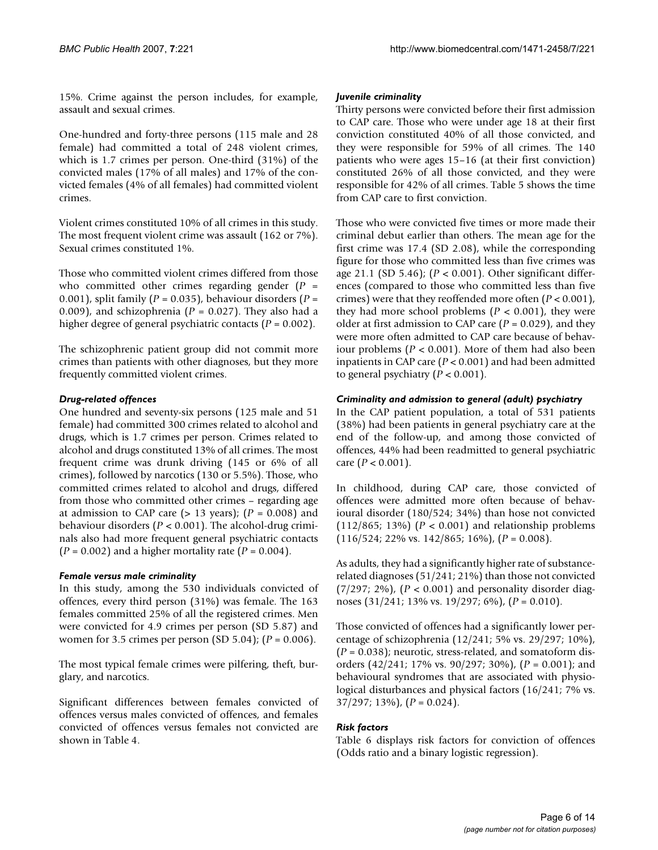15%. Crime against the person includes, for example, assault and sexual crimes.

One-hundred and forty-three persons (115 male and 28 female) had committed a total of 248 violent crimes, which is 1.7 crimes per person. One-third (31%) of the convicted males (17% of all males) and 17% of the convicted females (4% of all females) had committed violent crimes.

Violent crimes constituted 10% of all crimes in this study. The most frequent violent crime was assault (162 or 7%). Sexual crimes constituted 1%.

Those who committed violent crimes differed from those who committed other crimes regarding gender (*P* = 0.001), split family (*P* = 0.035), behaviour disorders (*P* = 0.009), and schizophrenia (*P* = 0.027). They also had a higher degree of general psychiatric contacts (*P* = 0.002).

The schizophrenic patient group did not commit more crimes than patients with other diagnoses, but they more frequently committed violent crimes.

# *Drug-related offences*

One hundred and seventy-six persons (125 male and 51 female) had committed 300 crimes related to alcohol and drugs, which is 1.7 crimes per person. Crimes related to alcohol and drugs constituted 13% of all crimes. The most frequent crime was drunk driving (145 or 6% of all crimes), followed by narcotics (130 or 5.5%). Those, who committed crimes related to alcohol and drugs, differed from those who committed other crimes – regarding age at admission to CAP care ( $> 13$  years); ( $P = 0.008$ ) and behaviour disorders (*P* < 0.001). The alcohol-drug criminals also had more frequent general psychiatric contacts (*P* = 0.002) and a higher mortality rate (*P* = 0.004).

# *Female versus male criminality*

In this study, among the 530 individuals convicted of offences, every third person (31%) was female. The 163 females committed 25% of all the registered crimes. Men were convicted for 4.9 crimes per person (SD 5.87) and women for 3.5 crimes per person (SD 5.04); (*P* = 0.006).

The most typical female crimes were pilfering, theft, burglary, and narcotics.

Significant differences between females convicted of offences versus males convicted of offences, and females convicted of offences versus females not convicted are shown in Table 4.

# *Juvenile criminality*

Thirty persons were convicted before their first admission to CAP care. Those who were under age 18 at their first conviction constituted 40% of all those convicted, and they were responsible for 59% of all crimes. The 140 patients who were ages 15–16 (at their first conviction) constituted 26% of all those convicted, and they were responsible for 42% of all crimes. Table 5 shows the time from CAP care to first conviction.

Those who were convicted five times or more made their criminal debut earlier than others. The mean age for the first crime was 17.4 (SD 2.08), while the corresponding figure for those who committed less than five crimes was age 21.1 (SD 5.46); (*P* < 0.001). Other significant differences (compared to those who committed less than five crimes) were that they reoffended more often (*P* < 0.001), they had more school problems  $(P < 0.001)$ , they were older at first admission to CAP care (*P* = 0.029), and they were more often admitted to CAP care because of behaviour problems (*P* < 0.001). More of them had also been inpatients in CAP care (*P* < 0.001) and had been admitted to general psychiatry  $(P < 0.001)$ .

# *Criminality and admission to general (adult) psychiatry*

In the CAP patient population, a total of 531 patients (38%) had been patients in general psychiatry care at the end of the follow-up, and among those convicted of offences, 44% had been readmitted to general psychiatric care (*P* < 0.001).

In childhood, during CAP care, those convicted of offences were admitted more often because of behavioural disorder (180/524; 34%) than hose not convicted (112/865; 13%) (*P* < 0.001) and relationship problems (116/524; 22% vs. 142/865; 16%), (*P* = 0.008).

As adults, they had a significantly higher rate of substancerelated diagnoses (51/241; 21%) than those not convicted (7/297; 2%), (*P* < 0.001) and personality disorder diagnoses (31/241; 13% vs. 19/297; 6%), (*P* = 0.010).

Those convicted of offences had a significantly lower percentage of schizophrenia (12/241; 5% vs. 29/297; 10%), (*P* = 0.038); neurotic, stress-related, and somatoform disorders (42/241; 17% vs. 90/297; 30%), (*P* = 0.001); and behavioural syndromes that are associated with physiological disturbances and physical factors (16/241; 7% vs. 37/297; 13%), (*P* = 0.024).

# *Risk factors*

Table 6 displays risk factors for conviction of offences (Odds ratio and a binary logistic regression).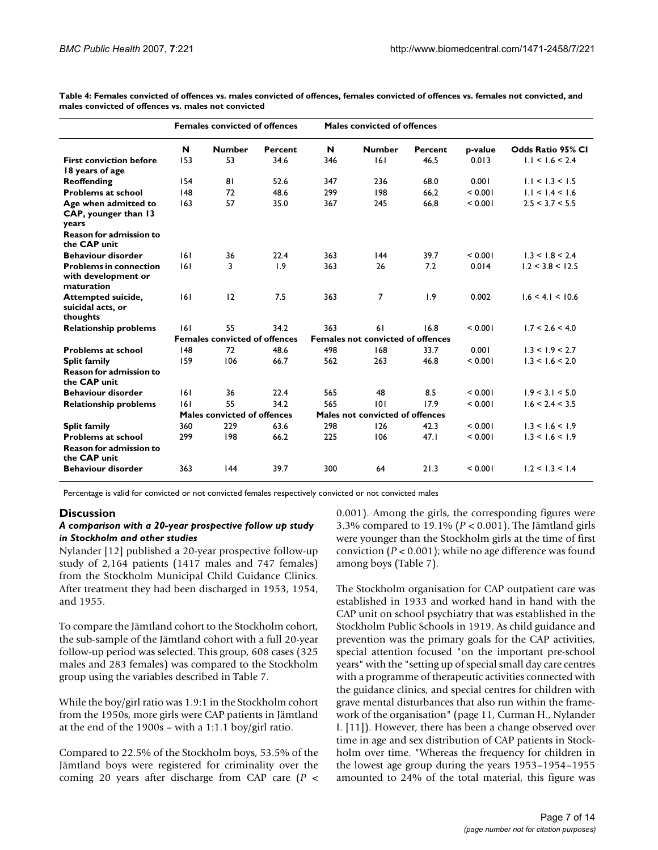|                                                                             | <b>Females convicted of offences</b> |                                      |         |                                 | Males convicted of offences              |         |         |                       |  |  |
|-----------------------------------------------------------------------------|--------------------------------------|--------------------------------------|---------|---------------------------------|------------------------------------------|---------|---------|-----------------------|--|--|
|                                                                             | N                                    | <b>Number</b>                        | Percent | N                               | <b>Number</b>                            | Percent | p-value | Odds Ratio 95% Cl     |  |  |
| <b>First conviction before</b><br>18 years of age                           | 153                                  | 53                                   | 34.6    | 346                             | 6                                        | 46.5    | 0.013   | $ . $ < $ .6$ < 2.4   |  |  |
| Reoffending                                                                 | 154                                  | 81                                   | 52.6    | 347                             | 236                                      | 68.0    | 0.001   | 1.1 < 1.3 < 1.5       |  |  |
| <b>Problems at school</b>                                                   | 48                                   | 72                                   | 48.6    | 299                             | 198                                      | 66.2    | < 0.001 | $ . $ < $ .4$ < $ .6$ |  |  |
| Age when admitted to<br>CAP, younger than 13<br>years                       | 163                                  | 57                                   | 35.0    | 367                             | 245                                      | 66,8    | < 0.001 | 2.5 < 3.7 < 5.5       |  |  |
| <b>Reason for admission to</b><br>the CAP unit                              |                                      |                                      |         |                                 |                                          |         |         |                       |  |  |
| <b>Behaviour disorder</b>                                                   | 6                                    | 36                                   | 22.4    | 363                             | 44                                       | 39.7    | < 0.001 | 1.3 < 1.8 < 2.4       |  |  |
| <b>Problems in connection</b><br>with development or<br>maturation          | 6                                    | 3                                    | 1.9     | 363                             | 26                                       | 7.2     | 0.014   | 1.2 < 3.8 < 12.5      |  |  |
| <b>Attempted suicide,</b><br>suicidal acts, or<br>thoughts                  | 6                                    | 12                                   | 7.5     | 363                             | 7                                        | 1.9     | 0.002   | 1.6 < 4.1 < 10.6      |  |  |
| <b>Relationship problems</b>                                                | 6                                    | 55                                   | 34.2    | 363                             | 61                                       | 16.8    | < 0.001 | 1.7 < 2.6 < 4.0       |  |  |
|                                                                             |                                      | <b>Females convicted of offences</b> |         |                                 | <b>Females not convicted of offences</b> |         |         |                       |  |  |
| <b>Problems at school</b>                                                   | 48                                   | 72                                   | 48.6    | 498                             | 168                                      | 33.7    | 0.001   | 1.3 < 1.9 < 2.7       |  |  |
| <b>Split family</b><br><b>Reason for admission to</b><br>the CAP unit       | 159                                  | 106                                  | 66.7    | 562                             | 263                                      | 46.8    | < 0.001 | 1.3 < 1.6 < 2.0       |  |  |
| <b>Behaviour disorder</b>                                                   | 6                                    | 36                                   | 22.4    | 565                             | 48                                       | 8.5     | < 0.001 | 1.9 < 3.1 < 5.0       |  |  |
| <b>Relationship problems</b>                                                | 6                                    | 55                                   | 34.2    | 565                             | 101                                      | 17.9    | < 0.001 | 1.6 < 2.4 < 3.5       |  |  |
|                                                                             | Males convicted of offences          |                                      |         | Males not convicted of offences |                                          |         |         |                       |  |  |
| <b>Split family</b>                                                         | 360                                  | 229                                  | 63.6    | 298                             | 126                                      | 42.3    | < 0.001 | 1.3 < 1.6 < 1.9       |  |  |
| <b>Problems at school</b><br><b>Reason for admission to</b><br>the CAP unit | 299                                  | 198                                  | 66.2    | 225                             | 106                                      | 47.1    | < 0.001 | 1.3 < 1.6 < 1.9       |  |  |
| <b>Behaviour disorder</b>                                                   | 363                                  | 144                                  | 39.7    | 300                             | 64                                       | 21.3    | < 0.001 | 1.2 < 1.3 < 1.4       |  |  |

**Table 4: Females convicted of offences vs. males convicted of offences, females convicted of offences vs. females not convicted, and males convicted of offences vs. males not convicted**

Percentage is valid for convicted or not convicted females respectively convicted or not convicted males

# **Discussion**

#### *A comparison with a 20-year prospective follow up study in Stockholm and other studies*

Nylander [12] published a 20-year prospective follow-up study of 2,164 patients (1417 males and 747 females) from the Stockholm Municipal Child Guidance Clinics. After treatment they had been discharged in 1953, 1954, and 1955.

To compare the Jämtland cohort to the Stockholm cohort, the sub-sample of the Jämtland cohort with a full 20-year follow-up period was selected. This group, 608 cases (325 males and 283 females) was compared to the Stockholm group using the variables described in Table 7.

While the boy/girl ratio was 1.9:1 in the Stockholm cohort from the 1950s, more girls were CAP patients in Jämtland at the end of the 1900s – with a 1:1.1 boy/girl ratio.

Compared to 22.5% of the Stockholm boys, 53.5% of the Jämtland boys were registered for criminality over the coming 20 years after discharge from CAP care (*P* < 0.001). Among the girls, the corresponding figures were 3.3% compared to 19.1% (*P* < 0.001). The Jämtland girls were younger than the Stockholm girls at the time of first conviction (*P* < 0.001); while no age difference was found among boys (Table 7).

The Stockholm organisation for CAP outpatient care was established in 1933 and worked hand in hand with the CAP unit on school psychiatry that was established in the Stockholm Public Schools in 1919. As child guidance and prevention was the primary goals for the CAP activities, special attention focused "on the important pre-school years" with the "setting up of special small day care centres with a programme of therapeutic activities connected with the guidance clinics, and special centres for children with grave mental disturbances that also run within the framework of the organisation" (page 11, Curman H., Nylander I. [11]). However, there has been a change observed over time in age and sex distribution of CAP patients in Stockholm over time. "Whereas the frequency for children in the lowest age group during the years 1953–1954–1955 amounted to 24% of the total material, this figure was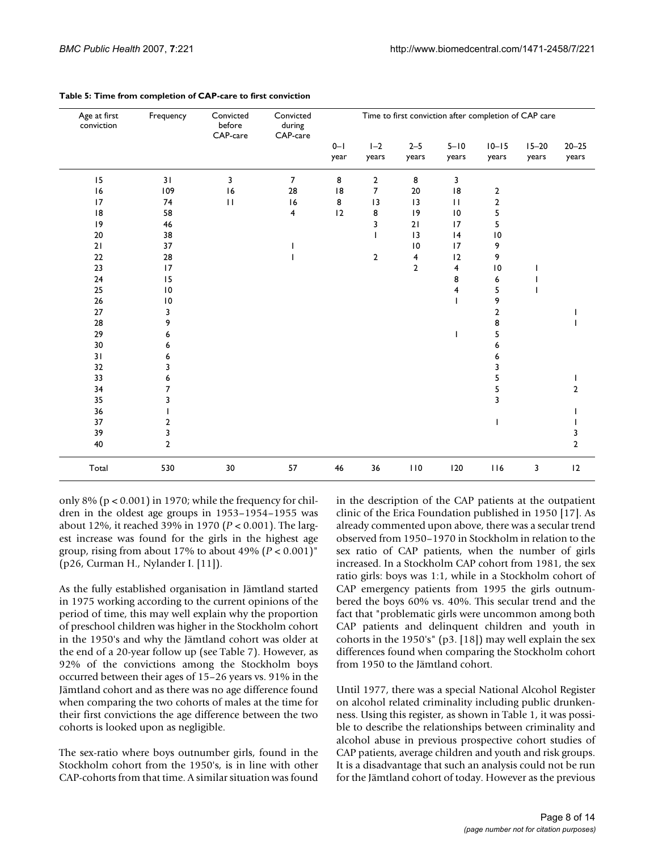| Age at first<br>conviction | Frequency      | Convicted<br>before<br>CAP-care | Convicted<br>during<br>CAP-care | Time to first conviction after completion of CAP care |                |                 |                 |                         |           |                |
|----------------------------|----------------|---------------------------------|---------------------------------|-------------------------------------------------------|----------------|-----------------|-----------------|-------------------------|-----------|----------------|
|                            |                |                                 |                                 | $0 - 1$                                               | $I - 2$        | $2 - 5$         | $5 - 10$        | $10 - 15$               | $15 - 20$ | $20 - 25$      |
|                            |                |                                 |                                 | year                                                  | years          | years           | years           | years                   | years     | years          |
| 15                         | 31             | 3                               | $\overline{7}$                  | 8                                                     | $\overline{2}$ | 8               | 3               |                         |           |                |
| 16                         | 109            | 16                              | 28                              | 8                                                     | 7              | 20              | 8               | $\overline{\mathbf{c}}$ |           |                |
| 17                         | 74             | $\mathbf{H}$                    | 16                              | 8                                                     | 13             | 3               | $\mathbf{H}$    | $\boldsymbol{2}$        |           |                |
| 8                          | 58             |                                 | 4                               | 12                                                    | 8              | 9               | $\overline{10}$ | 5                       |           |                |
| 9                          | 46             |                                 |                                 |                                                       | 3              | 21              | 17              | 5                       |           |                |
| 20                         | 38             |                                 |                                 |                                                       |                | 3               | 4               | $\overline{10}$         |           |                |
| 21                         | 37             |                                 | <b>I</b>                        |                                                       |                | $\overline{10}$ | 17              | 9                       |           |                |
| $22\,$                     | 28             |                                 | T                               |                                                       | $\overline{2}$ | 4               | 12              | 9                       |           |                |
| 23                         | 17             |                                 |                                 |                                                       |                | $\overline{2}$  | 4               | 10                      |           |                |
| 24                         | 15             |                                 |                                 |                                                       |                |                 | 8               | 6                       |           |                |
| 25                         | 10             |                                 |                                 |                                                       |                |                 | 4               | 5                       |           |                |
| 26                         | 10             |                                 |                                 |                                                       |                |                 |                 | 9                       |           |                |
| 27                         | 3              |                                 |                                 |                                                       |                |                 |                 | $\overline{\mathbf{c}}$ |           |                |
| 28                         | 9              |                                 |                                 |                                                       |                |                 |                 | 8                       |           |                |
| 29                         | 6              |                                 |                                 |                                                       |                |                 | I               | 5                       |           |                |
| 30                         | 6              |                                 |                                 |                                                       |                |                 |                 | 6                       |           |                |
| 31                         | 6              |                                 |                                 |                                                       |                |                 |                 | 6                       |           |                |
| 32                         | 3              |                                 |                                 |                                                       |                |                 |                 | 3                       |           |                |
| 33                         | 6              |                                 |                                 |                                                       |                |                 |                 | 5                       |           |                |
| 34                         | 7              |                                 |                                 |                                                       |                |                 |                 | 5                       |           | $\overline{2}$ |
| 35                         | 3              |                                 |                                 |                                                       |                |                 |                 | 3                       |           |                |
| 36                         |                |                                 |                                 |                                                       |                |                 |                 |                         |           |                |
| 37                         | 2              |                                 |                                 |                                                       |                |                 |                 |                         |           |                |
| 39                         | 3              |                                 |                                 |                                                       |                |                 |                 |                         |           | 3              |
| 40                         | $\overline{2}$ |                                 |                                 |                                                       |                |                 |                 |                         |           | $\mathbf 2$    |
| Total                      | 530            | 30                              | 57                              | 46                                                    | 36             | 110             | 120             | 116                     | 3         | 12             |

#### **Table 5: Time from completion of CAP-care to first conviction**

only 8% ( $p < 0.001$ ) in 1970; while the frequency for children in the oldest age groups in 1953–1954–1955 was about 12%, it reached 39% in 1970 (*P* < 0.001). The largest increase was found for the girls in the highest age group, rising from about 17% to about 49% (*P* < 0.001)" (p26, Curman H., Nylander I. [11]).

As the fully established organisation in Jämtland started in 1975 working according to the current opinions of the period of time, this may well explain why the proportion of preschool children was higher in the Stockholm cohort in the 1950's and why the Jämtland cohort was older at the end of a 20-year follow up (see Table 7). However, as 92% of the convictions among the Stockholm boys occurred between their ages of 15–26 years vs. 91% in the Jämtland cohort and as there was no age difference found when comparing the two cohorts of males at the time for their first convictions the age difference between the two cohorts is looked upon as negligible.

The sex-ratio where boys outnumber girls, found in the Stockholm cohort from the 1950's, is in line with other CAP-cohorts from that time. A similar situation was found

in the description of the CAP patients at the outpatient clinic of the Erica Foundation published in 1950 [17]. As already commented upon above, there was a secular trend observed from 1950–1970 in Stockholm in relation to the sex ratio of CAP patients, when the number of girls increased. In a Stockholm CAP cohort from 1981, the sex ratio girls: boys was 1:1, while in a Stockholm cohort of CAP emergency patients from 1995 the girls outnumbered the boys 60% vs. 40%. This secular trend and the fact that "problematic girls were uncommon among both CAP patients and delinquent children and youth in cohorts in the 1950's" (p3. [18]) may well explain the sex differences found when comparing the Stockholm cohort from 1950 to the Jämtland cohort.

Until 1977, there was a special National Alcohol Register on alcohol related criminality including public drunkenness. Using this register, as shown in Table 1, it was possible to describe the relationships between criminality and alcohol abuse in previous prospective cohort studies of CAP patients, average children and youth and risk groups. It is a disadvantage that such an analysis could not be run for the Jämtland cohort of today. However as the previous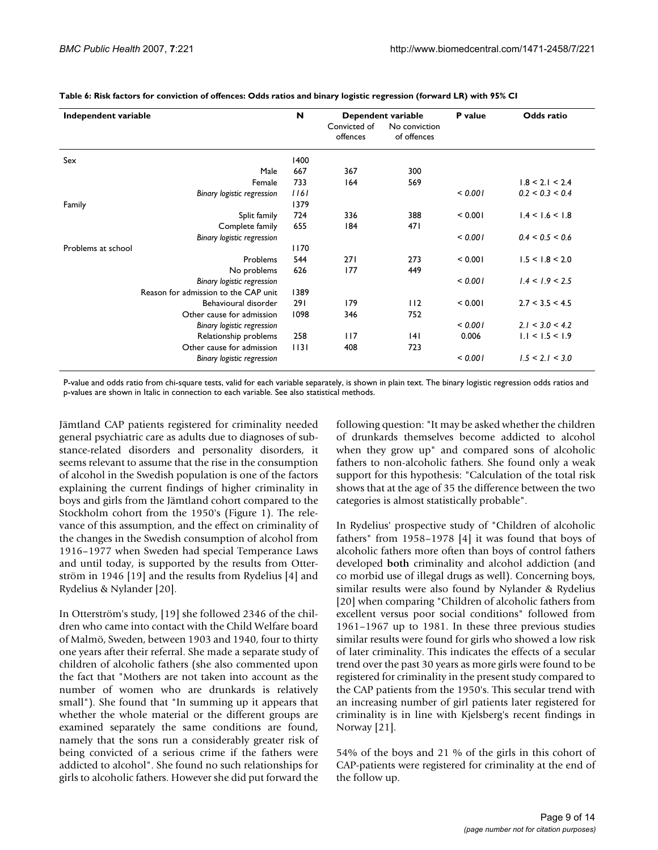| Independent variable                 | N            |                          | <b>Dependent variable</b>    | P value | Odds ratio      |
|--------------------------------------|--------------|--------------------------|------------------------------|---------|-----------------|
|                                      |              | Convicted of<br>offences | No conviction<br>of offences |         |                 |
| Sex                                  | 1400         |                          |                              |         |                 |
| Male                                 | 667          | 367                      | 300                          |         |                 |
| Female                               | 733          | 164                      | 569                          |         | 1.8 < 2.1 < 2.4 |
| Binary logistic regression<br>Family | 1161<br>1379 |                          |                              | < 0.001 | 0.2 < 0.3 < 0.4 |
| Split family                         | 724          | 336                      | 388                          | < 0.001 | 1.4 < 1.6 < 1.8 |
| Complete family                      | 655          | 184                      | 471                          |         |                 |
| Binary logistic regression           |              |                          |                              | < 0.001 | 0.4 < 0.5 < 0.6 |
| Problems at school                   | 1170         |                          |                              |         |                 |
| Problems                             | 544          | 271                      | 273                          | < 0.001 | 1.5 < 1.8 < 2.0 |
| No problems                          | 626          | 177                      | 449                          |         |                 |
| Binary logistic regression           |              |                          |                              | < 0.001 | 1.4 < 1.9 < 2.5 |
| Reason for admission to the CAP unit | 1389         |                          |                              |         |                 |
| Behavioural disorder                 | 291          | 179                      | 112                          | < 0.001 | 2.7 < 3.5 < 4.5 |
| Other cause for admission            | 1098         | 346                      | 752                          |         |                 |
| Binary logistic regression           |              |                          |                              | < 0.001 | 2.1 < 3.0 < 4.2 |
| Relationship problems                | 258          | 117                      | 4                            | 0.006   | 1.1 < 1.5 < 1.9 |
| Other cause for admission            | $ $   $ $    | 408                      | 723                          |         |                 |
| Binary logistic regression           |              |                          |                              | < 0.001 | 1.5 < 2.1 < 3.0 |

#### **Table 6: Risk factors for conviction of offences: Odds ratios and binary logistic regression (forward LR) with 95% CI**

P-value and odds ratio from chi-square tests, valid for each variable separately, is shown in plain text. The binary logistic regression odds ratios and p-values are shown in Italic in connection to each variable. See also statistical methods.

Jämtland CAP patients registered for criminality needed general psychiatric care as adults due to diagnoses of substance-related disorders and personality disorders, it seems relevant to assume that the rise in the consumption of alcohol in the Swedish population is one of the factors explaining the current findings of higher criminality in boys and girls from the Jämtland cohort compared to the Stockholm cohort from the 1950's (Figure 1). The relevance of this assumption, and the effect on criminality of the changes in the Swedish consumption of alcohol from 1916–1977 when Sweden had special Temperance Laws and until today, is supported by the results from Otterström in 1946 [19] and the results from Rydelius [4] and Rydelius & Nylander [20].

In Otterström's study, [19] she followed 2346 of the children who came into contact with the Child Welfare board of Malmö, Sweden, between 1903 and 1940, four to thirty one years after their referral. She made a separate study of children of alcoholic fathers (she also commented upon the fact that "Mothers are not taken into account as the number of women who are drunkards is relatively small"). She found that "In summing up it appears that whether the whole material or the different groups are examined separately the same conditions are found, namely that the sons run a considerably greater risk of being convicted of a serious crime if the fathers were addicted to alcohol". She found no such relationships for girls to alcoholic fathers. However she did put forward the following question: "It may be asked whether the children of drunkards themselves become addicted to alcohol when they grow up" and compared sons of alcoholic fathers to non-alcoholic fathers. She found only a weak support for this hypothesis: "Calculation of the total risk shows that at the age of 35 the difference between the two categories is almost statistically probable".

In Rydelius' prospective study of "Children of alcoholic fathers" from 1958–1978 [4] it was found that boys of alcoholic fathers more often than boys of control fathers developed **both** criminality and alcohol addiction (and co morbid use of illegal drugs as well). Concerning boys, similar results were also found by Nylander & Rydelius [20] when comparing "Children of alcoholic fathers from excellent versus poor social conditions" followed from 1961–1967 up to 1981. In these three previous studies similar results were found for girls who showed a low risk of later criminality. This indicates the effects of a secular trend over the past 30 years as more girls were found to be registered for criminality in the present study compared to the CAP patients from the 1950's. This secular trend with an increasing number of girl patients later registered for criminality is in line with Kjelsberg's recent findings in Norway [21].

54% of the boys and 21 % of the girls in this cohort of CAP-patients were registered for criminality at the end of the follow up.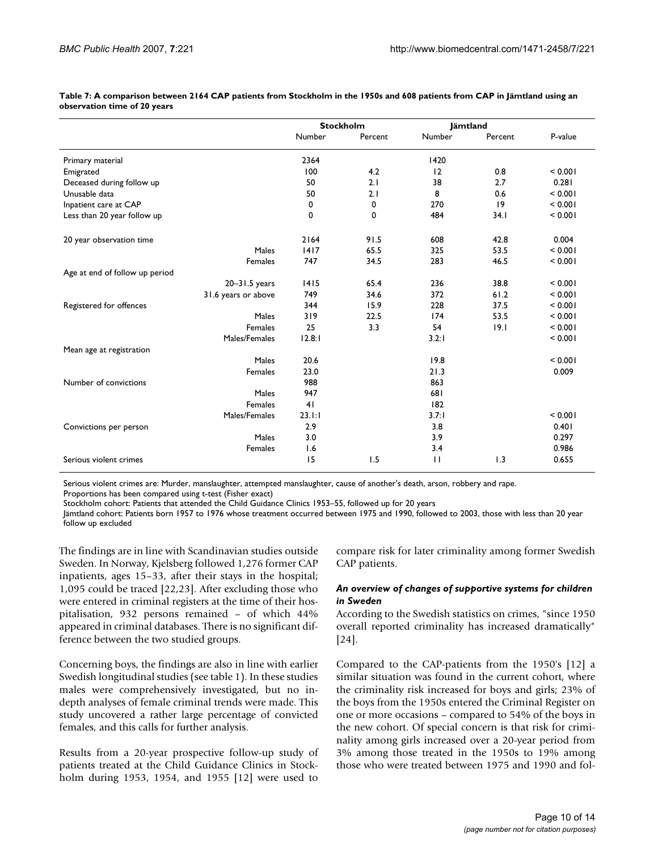|                                |                     | <b>Stockholm</b> |         | Jämtland     |         |         |  |
|--------------------------------|---------------------|------------------|---------|--------------|---------|---------|--|
|                                |                     | Number           | Percent | Number       | Percent | P-value |  |
|                                |                     |                  |         |              |         |         |  |
| Primary material               |                     | 2364             |         | 1420         |         |         |  |
| Emigrated                      |                     | 100              | 4.2     | 12           | 0.8     | < 0.001 |  |
| Deceased during follow up      |                     | 50               | 2.1     | 38           | 2.7     | 0.281   |  |
| Unusable data                  |                     | 50               | 2.1     | 8            | 0.6     | < 0.001 |  |
| Inpatient care at CAP          |                     | 0                | 0       | 270          | 9       | < 0.001 |  |
| Less than 20 year follow up    |                     | 0                | 0       | 484          | 34.1    | < 0.001 |  |
| 20 year observation time       |                     | 2164             | 91.5    | 608          | 42.8    | 0.004   |  |
|                                | Males               | 1417             | 65.5    | 325          | 53.5    | < 0.001 |  |
|                                | Females             | 747              | 34.5    | 283          | 46.5    | < 0.001 |  |
| Age at end of follow up period |                     |                  |         |              |         |         |  |
|                                | $20 - 31.5$ years   | 1415             | 65.4    | 236          | 38.8    | < 0.001 |  |
|                                | 31.6 years or above | 749              | 34.6    | 372          | 61.2    | < 0.001 |  |
| Registered for offences        |                     | 344              | 15.9    | 228          | 37.5    | < 0.001 |  |
|                                | Males               | 319              | 22.5    | 174          | 53.5    | < 0.001 |  |
|                                | Females             | 25               | 3.3     | 54           | 19.1    | < 0.001 |  |
|                                | Males/Females       | 12.8:1           |         | 3.2:1        |         | < 0.001 |  |
| Mean age at registration       |                     |                  |         |              |         |         |  |
|                                | Males               | 20.6             |         | 19.8         |         | < 0.001 |  |
|                                | Females             | 23.0             |         | 21.3         |         | 0.009   |  |
| Number of convictions          |                     | 988              |         | 863          |         |         |  |
|                                | Males               | 947              |         | 681          |         |         |  |
|                                | Females             | 41               |         | 182          |         |         |  |
|                                | Males/Females       | 23.1:1           |         | 3.7:1        |         | < 0.001 |  |
| Convictions per person         |                     | 2.9              |         | 3.8          |         | 0.401   |  |
|                                | Males               | 3.0              |         | 3.9          |         | 0.297   |  |
|                                | Females             | 1.6              |         | 3.4          |         | 0.986   |  |
| Serious violent crimes         |                     | 15               | 1.5     | $\mathbf{H}$ | 1.3     | 0.655   |  |

**Table 7: A comparison between 2164 CAP patients from Stockholm in the 1950s and 608 patients from CAP in Jämtland using an observation time of 20 years**

Serious violent crimes are: Murder, manslaughter, attempted manslaughter, cause of another's death, arson, robbery and rape. Proportions has been compared using t-test (Fisher exact)

Stockholm cohort: Patients that attended the Child Guidance Clinics 1953–55, followed up for 20 years

Jämtland cohort: Patients born 1957 to 1976 whose treatment occurred between 1975 and 1990, followed to 2003, those with less than 20 year follow up excluded

The findings are in line with Scandinavian studies outside Sweden. In Norway, Kjelsberg followed 1,276 former CAP inpatients, ages 15–33, after their stays in the hospital; 1,095 could be traced [22,23]. After excluding those who were entered in criminal registers at the time of their hospitalisation, 932 persons remained – of which 44% appeared in criminal databases. There is no significant difference between the two studied groups.

Concerning boys, the findings are also in line with earlier Swedish longitudinal studies (see table 1). In these studies males were comprehensively investigated, but no indepth analyses of female criminal trends were made. This study uncovered a rather large percentage of convicted females, and this calls for further analysis.

Results from a 20-year prospective follow-up study of patients treated at the Child Guidance Clinics in Stockholm during 1953, 1954, and 1955 [12] were used to compare risk for later criminality among former Swedish CAP patients.

### *An overview of changes of supportive systems for children in Sweden*

According to the Swedish statistics on crimes, "since 1950 overall reported criminality has increased dramatically" [24].

Compared to the CAP-patients from the 1950's [12] a similar situation was found in the current cohort, where the criminality risk increased for boys and girls; 23% of the boys from the 1950s entered the Criminal Register on one or more occasions – compared to 54% of the boys in the new cohort. Of special concern is that risk for criminality among girls increased over a 20-year period from 3% among those treated in the 1950s to 19% among those who were treated between 1975 and 1990 and fol-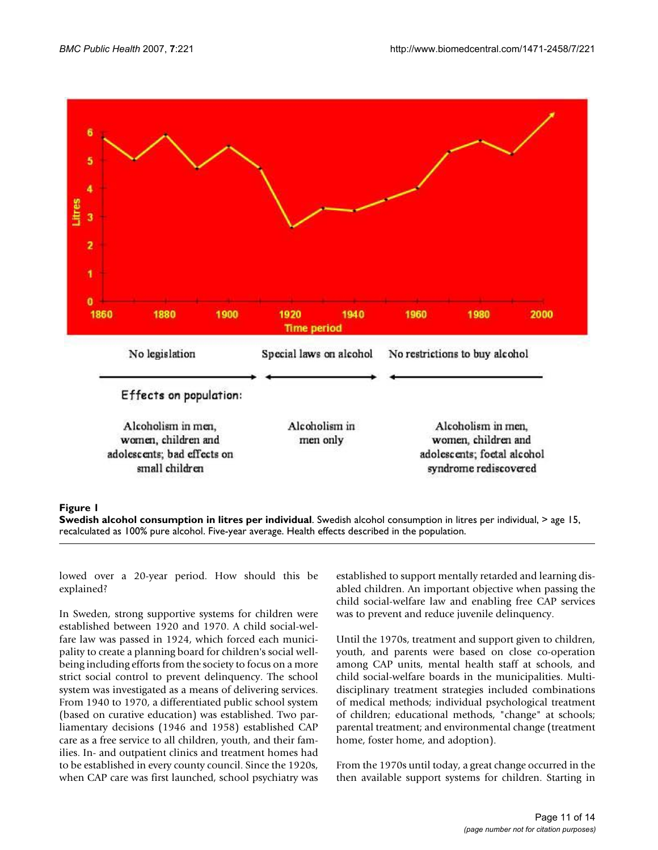

#### **Figure 1**

**Swedish alcohol consumption in litres per individual**. Swedish alcohol consumption in litres per individual, > age 15, recalculated as 100% pure alcohol. Five-year average. Health effects described in the population.

lowed over a 20-year period. How should this be explained?

In Sweden, strong supportive systems for children were established between 1920 and 1970. A child social-welfare law was passed in 1924, which forced each municipality to create a planning board for children's social wellbeing including efforts from the society to focus on a more strict social control to prevent delinquency. The school system was investigated as a means of delivering services. From 1940 to 1970, a differentiated public school system (based on curative education) was established. Two parliamentary decisions (1946 and 1958) established CAP care as a free service to all children, youth, and their families. In- and outpatient clinics and treatment homes had to be established in every county council. Since the 1920s, when CAP care was first launched, school psychiatry was established to support mentally retarded and learning disabled children. An important objective when passing the child social-welfare law and enabling free CAP services was to prevent and reduce juvenile delinquency.

Until the 1970s, treatment and support given to children, youth, and parents were based on close co-operation among CAP units, mental health staff at schools, and child social-welfare boards in the municipalities. Multidisciplinary treatment strategies included combinations of medical methods; individual psychological treatment of children; educational methods, "change" at schools; parental treatment; and environmental change (treatment home, foster home, and adoption).

From the 1970s until today, a great change occurred in the then available support systems for children. Starting in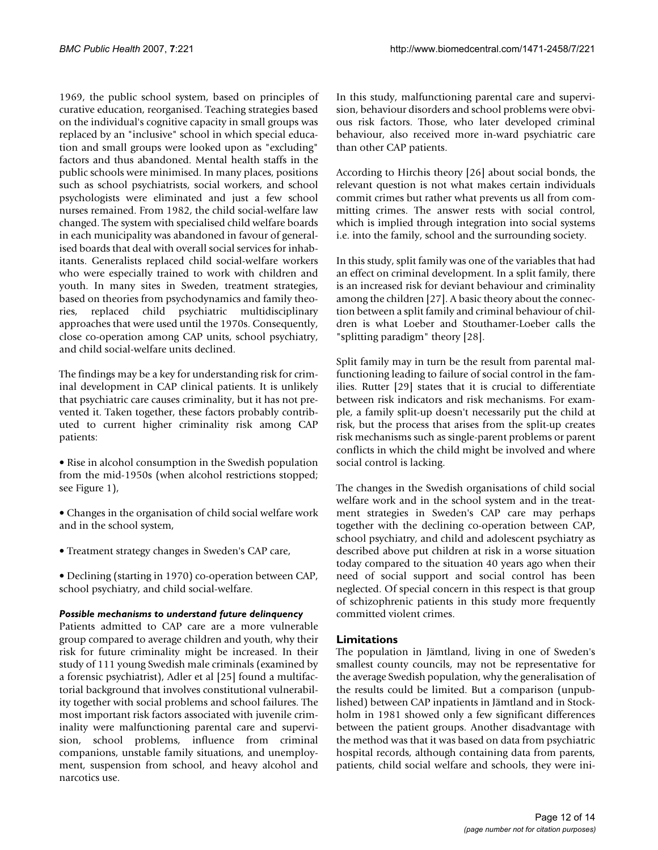1969, the public school system, based on principles of curative education, reorganised. Teaching strategies based on the individual's cognitive capacity in small groups was replaced by an "inclusive" school in which special education and small groups were looked upon as "excluding" factors and thus abandoned. Mental health staffs in the public schools were minimised. In many places, positions such as school psychiatrists, social workers, and school psychologists were eliminated and just a few school nurses remained. From 1982, the child social-welfare law changed. The system with specialised child welfare boards in each municipality was abandoned in favour of generalised boards that deal with overall social services for inhabitants. Generalists replaced child social-welfare workers who were especially trained to work with children and youth. In many sites in Sweden, treatment strategies, based on theories from psychodynamics and family theories, replaced child psychiatric multidisciplinary approaches that were used until the 1970s. Consequently, close co-operation among CAP units, school psychiatry, and child social-welfare units declined.

The findings may be a key for understanding risk for criminal development in CAP clinical patients. It is unlikely that psychiatric care causes criminality, but it has not prevented it. Taken together, these factors probably contributed to current higher criminality risk among CAP patients:

• Rise in alcohol consumption in the Swedish population from the mid-1950s (when alcohol restrictions stopped; see Figure 1),

- Changes in the organisation of child social welfare work and in the school system,
- Treatment strategy changes in Sweden's CAP care,

• Declining (starting in 1970) co-operation between CAP, school psychiatry, and child social-welfare.

#### *Possible mechanisms to understand future delinquency*

Patients admitted to CAP care are a more vulnerable group compared to average children and youth, why their risk for future criminality might be increased. In their study of 111 young Swedish male criminals (examined by a forensic psychiatrist), Adler et al [25] found a multifactorial background that involves constitutional vulnerability together with social problems and school failures. The most important risk factors associated with juvenile criminality were malfunctioning parental care and supervision, school problems, influence from criminal companions, unstable family situations, and unemployment, suspension from school, and heavy alcohol and narcotics use.

In this study, malfunctioning parental care and supervision, behaviour disorders and school problems were obvious risk factors. Those, who later developed criminal behaviour, also received more in-ward psychiatric care than other CAP patients.

According to Hirchis theory [26] about social bonds, the relevant question is not what makes certain individuals commit crimes but rather what prevents us all from committing crimes. The answer rests with social control, which is implied through integration into social systems i.e. into the family, school and the surrounding society.

In this study, split family was one of the variables that had an effect on criminal development. In a split family, there is an increased risk for deviant behaviour and criminality among the children [27]. A basic theory about the connection between a split family and criminal behaviour of children is what Loeber and Stouthamer-Loeber calls the "splitting paradigm" theory [28].

Split family may in turn be the result from parental malfunctioning leading to failure of social control in the families. Rutter [29] states that it is crucial to differentiate between risk indicators and risk mechanisms. For example, a family split-up doesn't necessarily put the child at risk, but the process that arises from the split-up creates risk mechanisms such as single-parent problems or parent conflicts in which the child might be involved and where social control is lacking.

The changes in the Swedish organisations of child social welfare work and in the school system and in the treatment strategies in Sweden's CAP care may perhaps together with the declining co-operation between CAP, school psychiatry, and child and adolescent psychiatry as described above put children at risk in a worse situation today compared to the situation 40 years ago when their need of social support and social control has been neglected. Of special concern in this respect is that group of schizophrenic patients in this study more frequently committed violent crimes.

# **Limitations**

The population in Jämtland, living in one of Sweden's smallest county councils, may not be representative for the average Swedish population, why the generalisation of the results could be limited. But a comparison (unpublished) between CAP inpatients in Jämtland and in Stockholm in 1981 showed only a few significant differences between the patient groups. Another disadvantage with the method was that it was based on data from psychiatric hospital records, although containing data from parents, patients, child social welfare and schools, they were ini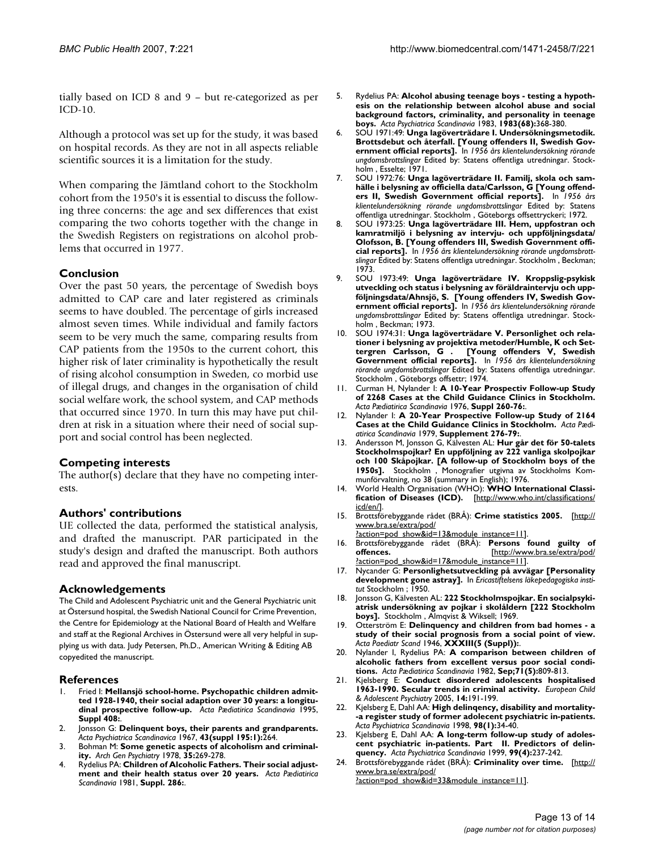tially based on ICD 8 and 9 – but re-categorized as per ICD-10.

Although a protocol was set up for the study, it was based on hospital records. As they are not in all aspects reliable scientific sources it is a limitation for the study.

When comparing the Jämtland cohort to the Stockholm cohort from the 1950's it is essential to discuss the following three concerns: the age and sex differences that exist comparing the two cohorts together with the change in the Swedish Registers on registrations on alcohol problems that occurred in 1977.

# **Conclusion**

Over the past 50 years, the percentage of Swedish boys admitted to CAP care and later registered as criminals seems to have doubled. The percentage of girls increased almost seven times. While individual and family factors seem to be very much the same, comparing results from CAP patients from the 1950s to the current cohort, this higher risk of later criminality is hypothetically the result of rising alcohol consumption in Sweden, co morbid use of illegal drugs, and changes in the organisation of child social welfare work, the school system, and CAP methods that occurred since 1970. In turn this may have put children at risk in a situation where their need of social support and social control has been neglected.

# **Competing interests**

The author(s) declare that they have no competing interests.

# **Authors' contributions**

UE collected the data, performed the statistical analysis, and drafted the manuscript. PAR participated in the study's design and drafted the manuscript. Both authors read and approved the final manuscript.

#### **Acknowledgements**

The Child and Adolescent Psychiatric unit and the General Psychiatric unit at Östersund hospital, the Swedish National Council for Crime Prevention, the Centre for Epidemiology at the National Board of Health and Welfare and staff at the Regional Archives in Östersund were all very helpful in supplying us with data. Judy Petersen, Ph.D., American Writing & Editing AB copyedited the manuscript.

#### **References**

- 1. Fried I: **Mellansjö school-home. Psychopathic children admitted 1928-1940, their social adaption over 30 years: a longitudinal prospective follow-up.** *Acta Pædiatirica Scandinavia* 1995, **Suppl 408:**.
- 2. Jonsson G: **Delinquent boys, their parents and grandparents.** *Acta Psychiatrica Scandinavica* 1967, **43(suppl 195:1):**264.
- 3. Bohman M: **[Some genetic aspects of alcoholism and criminal](http://www.ncbi.nlm.nih.gov/entrez/query.fcgi?cmd=Retrieve&db=PubMed&dopt=Abstract&list_uids=727885)[ity.](http://www.ncbi.nlm.nih.gov/entrez/query.fcgi?cmd=Retrieve&db=PubMed&dopt=Abstract&list_uids=727885)** *Arch Gen Psychiatry* 1978, **35:**269-278.
- 4. Rydelius PA: **Children of Alcoholic Fathers. Their social adjustment and their health status over 20 years.** *Acta Pædiatirica Scandinavia* 1981, **Suppl. 286:**.
- 5. Rydelius PA: **Alcohol abusing teenage boys testing a hypothesis on the relationship between alcohol abuse and social background factors, criminality, and personality in teenage boys.** *Acta Psychiatrica Scandinavia* 1983, **1983(68):**368-380.
- 6. SOU 1971:49: **Unga lagöverträdare I. Undersökningsmetodik. Brottsdebut och återfall. [Young offenders II, Swedish Government official reports].** In *1956 års klientelundersökning rörande ungdomsbrottslingar* Edited by: Statens offentliga utredningar. Stockholm, Esselte; 1971.
- 7. SOU 1972:76: **Unga lagöverträdare II. Familj, skola och samhälle i belysning av officiella data/Carlsson, G [Young offenders II, Swedish Government official reports].** In *1956 års klientelundersökning rörande ungdomsbrottslingar* Edited by: Statens offentliga utredningar. Stockholm , Göteborgs offsettryckeri; 1972.
- 8. SOU 1973:25: **Unga lagöverträdare III. Hem, uppfostran och kamratmiljö i belysning av intervju- och uppföljningsdata/ Olofsson, B. [Young offenders III, Swedish Government official reports].** In *1956 års klientelundersökning rörande ungdomsbrottslingar* Edited by: Statens offentliga utredningar. Stockholm , Beckman; 1973.
- 9. SOU 1973:49: **Unga lagöverträdare IV. Kroppslig-psykisk utveckling och status i belysning av föräldraintervju och uppföljningsdata/Ahnsjö, S. [Young offenders IV, Swedish Government official reports].** In *1956 års klientelundersökning rörande ungdomsbrottslingar* Edited by: Statens offentliga utredningar. Stockholm , Beckman; 1973.
- 10. SOU 1974:31: **Unga lagöverträdare V. Personlighet och relationer i belysning av projektiva metoder/Humble, K och Settergren Carlsson, G . [Young offenders V, Swedish Government official reports].** In *1956 års klientelundersökning rörande ungdomsbrottslingar* Edited by: Statens offentliga utredningar. Stockholm , Göteborgs offsettr; 1974.
- 11. Curman H, Nylander I: **A 10-Year Prospectiv Follow-up Study of 2268 Cases at the Child Guidance Clinics in Stockholm.** *Acta Pædiatirica Scandinavia* 1976, **Suppl 260-76:**.
- 12. Nylander I: **A 20-Year Prospective Follow-up Study of 2164 Cases at the Child Guidance Clinics in Stockholm.** *Acta Pædiatirica Scandinavia* 1979, **Supplement 276-79:**.
- 13. Andersson M, Jonsson G, Kälvesten AL: **Hur går det för 50-talets Stockholmspojkar? En uppföljning av 222 vanliga skolpojkar och 100 Skåpojkar. [A follow-up of Stockholm boys of the 1950s].** Stockholm , Monografier utgivna av Stockholms Kommunförvaltning, no 38 (summary in English); 1976.
- 14. World Health Organisation (WHO): **WHO International Classification of Diseases (ICD).** [[http://www.who.int/classifications/](http://www.who.int/classifications/icd/en/) [icd/en/\]](http://www.who.int/classifications/icd/en/).
- 15. Brottsförebyggande rådet (BRÅ): **Crime statistics 2005.** [\[http://](http://www.bra.se/extra/pod/?action=pod_show&id=13&module_instance=11) [www.bra.se/extra/pod/](http://www.bra.se/extra/pod/?action=pod_show&id=13&module_instance=11)
- [?action=pod\\_show&id=13&module\\_instance=11\]](http://www.bra.se/extra/pod/?action=pod_show&id=13&module_instance=11) 16. Brottsförebyggande rådet (BRÅ): **Persons found guilty of offences.** [[http://www.bra.se/extra/pod/](http://www.bra.se/extra/pod/?action=pod_show&id=17&module_instance=11)
- [?action=pod\\_show&id=17&module\\_instance=11\]](http://www.bra.se/extra/pod/?action=pod_show&id=17&module_instance=11) 17. Nycander G: **Personlighetsutveckling på avvägar [Personality development gone astray].** In *Ericastiftelsens läkepedagogiska insti-*
- *tut* Stockholm ; 1950. 18. Jonsson G, Kälvesten AL: **222 Stockholmspojkar. En socialpsykiatrisk undersökning av pojkar i skolåldern [222 Stockholm boys].** Stockholm , Almqvist & Wiksell; 1969.
- 19. Otterström E: **Delinquency and children from bad homes a study of their social prognosis from a social point of view.** *Acta Paediatr Scand* 1946, **XXXIII(5 (Suppl)):**.
- 20. Nylander I, Rydelius PA: **A comparison between children of alcoholic fathers from excellent versus poor social conditions.** *Acta Pædiatirica Scandinavia* 1982, **Sep;71(5):**809-813.
- 21. Kjelsberg E: **[Conduct disordered adolescents hospitalised](http://www.ncbi.nlm.nih.gov/entrez/query.fcgi?cmd=Retrieve&db=PubMed&dopt=Abstract&list_uids=15981130) [1963-1990. Secular trends in criminal activity.](http://www.ncbi.nlm.nih.gov/entrez/query.fcgi?cmd=Retrieve&db=PubMed&dopt=Abstract&list_uids=15981130)** *European Child & Adolescent Psychiatry* 2005, **14:**191-199.
- 22. Kjelsberg E, Dahl AA: **High delinqency, disability and mortality- -a register study of former adolecent psychiatric in-patients.** *Acta Psychiatrica Scandinavia* 1998, **98(1):**34-40.
- 23. Kjelsberg E, Dahl AA: **A long-term follow-up study of adolescent psychiatric in-patients. Part II. Predictors of delinquency.** *Acta Psychiatrica Scandinavia* 1999, **99(4):**237-242.
- 24. Brottsförebyggande rådet (BRÅ): **Criminality over time.** [\[http://](http://www.bra.se/extra/pod/?action=pod_show&id=33&module_instance=11) [www.bra.se/extra/pod/](http://www.bra.se/extra/pod/?action=pod_show&id=33&module_instance=11)

[<sup>?</sup>action=pod\\_show&id=33&module\\_instance=11\]](http://www.bra.se/extra/pod/?action=pod_show&id=33&module_instance=11).